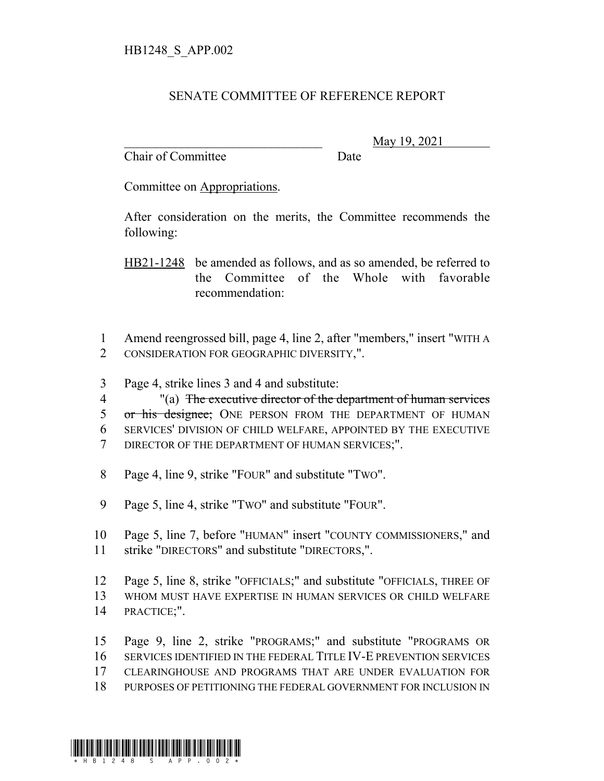## SENATE COMMITTEE OF REFERENCE REPORT

Chair of Committee Date

\_\_\_\_\_\_\_\_\_\_\_\_\_\_\_\_\_\_\_\_\_\_\_\_\_\_\_\_\_\_\_ May 19, 2021

Committee on Appropriations.

After consideration on the merits, the Committee recommends the following:

HB21-1248 be amended as follows, and as so amended, be referred to the Committee of the Whole with favorable recommendation:

1 Amend reengrossed bill, page 4, line 2, after "members," insert "WITH A 2 CONSIDERATION FOR GEOGRAPHIC DIVERSITY,".

3 Page 4, strike lines 3 and 4 and substitute:

 "(a) The executive director of the department of human services 5 or his designee; ONE PERSON FROM THE DEPARTMENT OF HUMAN SERVICES' DIVISION OF CHILD WELFARE, APPOINTED BY THE EXECUTIVE DIRECTOR OF THE DEPARTMENT OF HUMAN SERVICES;".

8 Page 4, line 9, strike "FOUR" and substitute "TWO".

9 Page 5, line 4, strike "TWO" and substitute "FOUR".

10 Page 5, line 7, before "HUMAN" insert "COUNTY COMMISSIONERS," and 11 strike "DIRECTORS" and substitute "DIRECTORS,".

12 Page 5, line 8, strike "OFFICIALS;" and substitute "OFFICIALS, THREE OF 13 WHOM MUST HAVE EXPERTISE IN HUMAN SERVICES OR CHILD WELFARE 14 PRACTICE;".

 Page 9, line 2, strike "PROGRAMS;" and substitute "PROGRAMS OR SERVICES IDENTIFIED IN THE FEDERAL TITLE IV-E PREVENTION SERVICES CLEARINGHOUSE AND PROGRAMS THAT ARE UNDER EVALUATION FOR PURPOSES OF PETITIONING THE FEDERAL GOVERNMENT FOR INCLUSION IN

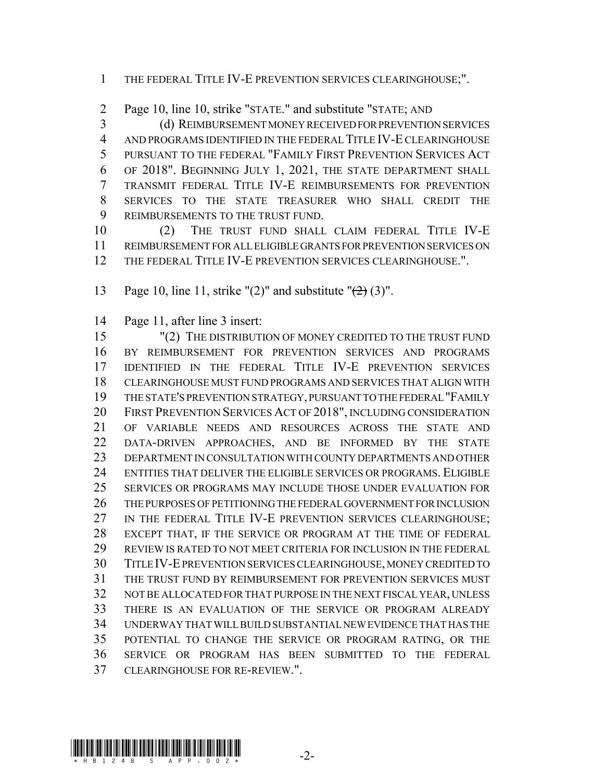1 THE FEDERAL TITLE IV-E PREVENTION SERVICES CLEARINGHOUSE;".

Page 10, line 10, strike "STATE." and substitute "STATE; AND

 (d) REIMBURSEMENT MONEY RECEIVED FOR PREVENTION SERVICES AND PROGRAMS IDENTIFIED IN THE FEDERAL TITLE IV-E CLEARINGHOUSE PURSUANT TO THE FEDERAL "FAMILY FIRST PREVENTION SERVICES ACT OF 2018". BEGINNING JULY 1, 2021, THE STATE DEPARTMENT SHALL TRANSMIT FEDERAL TITLE IV-E REIMBURSEMENTS FOR PREVENTION SERVICES TO THE STATE TREASURER WHO SHALL CREDIT THE REIMBURSEMENTS TO THE TRUST FUND.

 (2) THE TRUST FUND SHALL CLAIM FEDERAL TITLE IV-E REIMBURSEMENT FOR ALL ELIGIBLE GRANTS FOR PREVENTION SERVICES ON 12 THE FEDERAL TITLE IV-E PREVENTION SERVICES CLEARINGHOUSE.".

13 Page 10, line 11, strike " $(2)$ " and substitute " $\left(\frac{2}{2}\right)$  (3)".

Page 11, after line 3 insert:

 "(2) THE DISTRIBUTION OF MONEY CREDITED TO THE TRUST FUND BY REIMBURSEMENT FOR PREVENTION SERVICES AND PROGRAMS IDENTIFIED IN THE FEDERAL TITLE IV-E PREVENTION SERVICES CLEARINGHOUSE MUST FUND PROGRAMS AND SERVICES THAT ALIGN WITH THE STATE'S PREVENTION STRATEGY, PURSUANT TO THE FEDERAL "FAMILY FIRST PREVENTION SERVICES ACT OF 2018", INCLUDING CONSIDERATION OF VARIABLE NEEDS AND RESOURCES ACROSS THE STATE AND DATA-DRIVEN APPROACHES, AND BE INFORMED BY THE STATE DEPARTMENT IN CONSULTATION WITH COUNTY DEPARTMENTS AND OTHER ENTITIES THAT DELIVER THE ELIGIBLE SERVICES OR PROGRAMS. ELIGIBLE SERVICES OR PROGRAMS MAY INCLUDE THOSE UNDER EVALUATION FOR THE PURPOSES OF PETITIONING THE FEDERAL GOVERNMENT FOR INCLUSION 27 IN THE FEDERAL TITLE IV-E PREVENTION SERVICES CLEARINGHOUSE; EXCEPT THAT, IF THE SERVICE OR PROGRAM AT THE TIME OF FEDERAL REVIEW IS RATED TO NOT MEET CRITERIA FOR INCLUSION IN THE FEDERAL TITLE IV-E PREVENTION SERVICES CLEARINGHOUSE, MONEY CREDITED TO THE TRUST FUND BY REIMBURSEMENT FOR PREVENTION SERVICES MUST NOT BE ALLOCATED FOR THAT PURPOSE IN THE NEXT FISCAL YEAR, UNLESS THERE IS AN EVALUATION OF THE SERVICE OR PROGRAM ALREADY UNDERWAY THAT WILL BUILD SUBSTANTIAL NEW EVIDENCE THAT HAS THE POTENTIAL TO CHANGE THE SERVICE OR PROGRAM RATING, OR THE SERVICE OR PROGRAM HAS BEEN SUBMITTED TO THE FEDERAL CLEARINGHOUSE FOR RE-REVIEW.".